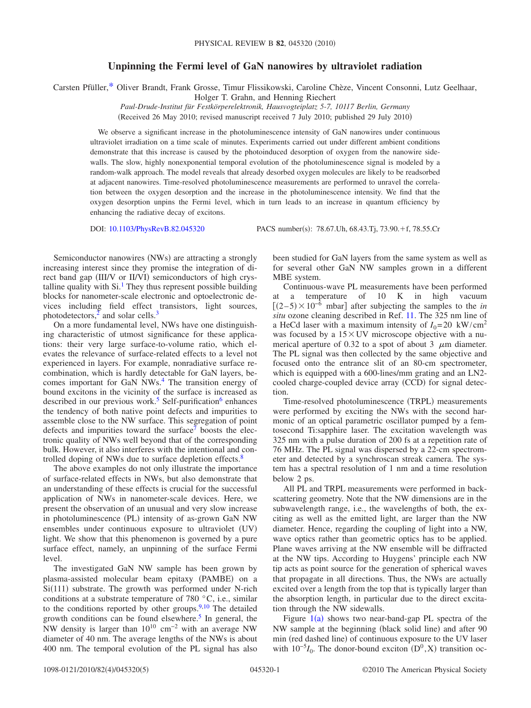## **Unpinning the Fermi level of GaN nanowires by ultraviolet radiation**

Carsten Pfüller[,\\*](#page-4-0) Oliver Brandt, Frank Grosse, Timur Flissikowski, Caroline Chèze, Vincent Consonni, Lutz Geelhaar,

Holger T. Grahn, and Henning Riechert

*Paul-Drude-Institut für Festkörperelektronik, Hausvogteiplatz 5-7, 10117 Berlin, Germany*

Received 26 May 2010; revised manuscript received 7 July 2010; published 29 July 2010-

We observe a significant increase in the photoluminescence intensity of GaN nanowires under continuous ultraviolet irradiation on a time scale of minutes. Experiments carried out under different ambient conditions demonstrate that this increase is caused by the photoinduced desorption of oxygen from the nanowire sidewalls. The slow, highly nonexponential temporal evolution of the photoluminescence signal is modeled by a random-walk approach. The model reveals that already desorbed oxygen molecules are likely to be readsorbed at adjacent nanowires. Time-resolved photoluminescence measurements are performed to unravel the correlation between the oxygen desorption and the increase in the photoluminescence intensity. We find that the oxygen desorption unpins the Fermi level, which in turn leads to an increase in quantum efficiency by enhancing the radiative decay of excitons.

DOI: [10.1103/PhysRevB.82.045320](http://dx.doi.org/10.1103/PhysRevB.82.045320)

PACS number(s): 78.67. Uh, 68.43. Tj, 73.90. +f, 78.55. Cr

Semiconductor nanowires (NWs) are attracting a strongly increasing interest since they promise the integration of direct band gap (III/V or II/VI) semiconductors of high crystalline quality with  $Si<sup>1</sup>$  They thus represent possible building blocks for nanometer-scale electronic and optoelectronic devices including field effect transistors, light sources, photodetectors, $\frac{3}{2}$  and solar cells.<sup>3</sup>

On a more fundamental level, NWs have one distinguishing characteristic of utmost significance for these applications: their very large surface-to-volume ratio, which elevates the relevance of surface-related effects to a level not experienced in layers. For example, nonradiative surface recombination, which is hardly detectable for GaN layers, becomes important for GaN NWs[.4](#page-4-4) The transition energy of bound excitons in the vicinity of the surface is increased as described in our previous work.<sup>5</sup> Self-purification $\delta$  enhances the tendency of both native point defects and impurities to assemble close to the NW surface. This segregation of point defects and impurities toward the surface<sup>7</sup> boosts the electronic quality of NWs well beyond that of the corresponding bulk. However, it also interferes with the intentional and controlled doping of NWs due to surface depletion effects.<sup>8</sup>

The above examples do not only illustrate the importance of surface-related effects in NWs, but also demonstrate that an understanding of these effects is crucial for the successful application of NWs in nanometer-scale devices. Here, we present the observation of an unusual and very slow increase in photoluminescence (PL) intensity of as-grown GaN NW ensembles under continuous exposure to ultraviolet (UV) light. We show that this phenomenon is governed by a pure surface effect, namely, an unpinning of the surface Fermi level.

The investigated GaN NW sample has been grown by plasma-assisted molecular beam epitaxy (PAMBE) on a Si(111) substrate. The growth was performed under N-rich conditions at a substrate temperature of 780 °C, i.e., similar to the conditions reported by other groups.<sup>9[,10](#page-4-10)</sup> The detailed growth conditions can be found elsewhere.<sup>5</sup> In general, the NW density is larger than  $10^{10}$  cm<sup>-2</sup> with an average NW diameter of 40 nm. The average lengths of the NWs is about 400 nm. The temporal evolution of the PL signal has also been studied for GaN layers from the same system as well as for several other GaN NW samples grown in a different MBE system.

Continuous-wave PL measurements have been performed a temperature of 10 K in high vacuum  $[(2-5) \times 10^{-6}$  mbar] after subjecting the samples to the *in situ* ozone cleaning described in Ref. [11.](#page-4-11) The 325 nm line of a HeCd laser with a maximum intensity of  $I_0$ =20 kW/cm<sup>2</sup> was focused by a  $15 \times UV$  microscope objective with a numerical aperture of 0.32 to a spot of about 3  $\mu$ m diameter. The PL signal was then collected by the same objective and focused onto the entrance slit of an 80-cm spectrometer, which is equipped with a 600-lines/mm grating and an LN2cooled charge-coupled device array (CCD) for signal detection.

Time-resolved photoluminescence (TRPL) measurements were performed by exciting the NWs with the second harmonic of an optical parametric oscillator pumped by a femtosecond Ti:sapphire laser. The excitation wavelength was 325 nm with a pulse duration of 200 fs at a repetition rate of 76 MHz. The PL signal was dispersed by a 22-cm spectrometer and detected by a synchroscan streak camera. The system has a spectral resolution of 1 nm and a time resolution below 2 ps.

All PL and TRPL measurements were performed in backscattering geometry. Note that the NW dimensions are in the subwavelength range, i.e., the wavelengths of both, the exciting as well as the emitted light, are larger than the NW diameter. Hence, regarding the coupling of light into a NW, wave optics rather than geometric optics has to be applied. Plane waves arriving at the NW ensemble will be diffracted at the NW tips. According to Huygens' principle each NW tip acts as point source for the generation of spherical waves that propagate in all directions. Thus, the NWs are actually excited over a length from the top that is typically larger than the absorption length, in particular due to the direct excitation through the NW sidewalls.

Figure  $1(a)$  $1(a)$  shows two near-band-gap PL spectra of the NW sample at the beginning (black solid line) and after 90 min (red dashed line) of continuous exposure to the UV laser with  $10^{-5}I_0$ . The donor-bound exciton  $(D^0, X)$  transition oc-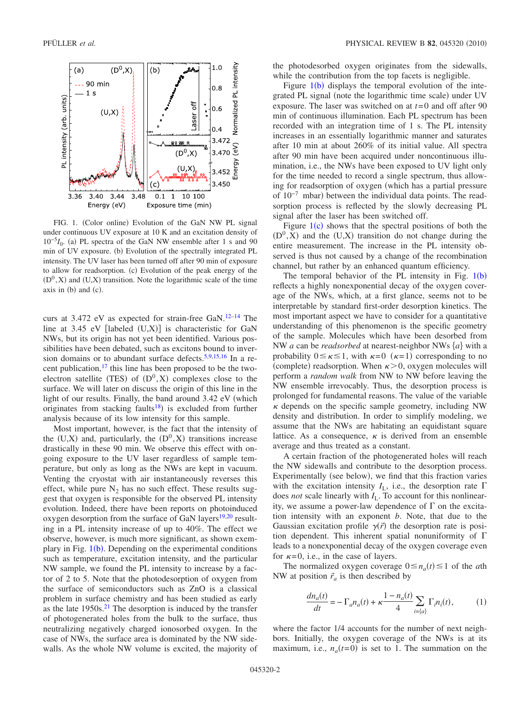<span id="page-1-0"></span>

FIG. 1. (Color online) Evolution of the GaN NW PL signal under continuous UV exposure at 10 K and an excitation density of  $10^{-5}I_0$ . (a) PL spectra of the GaN NW ensemble after 1 s and 90 min of UV exposure. (b) Evolution of the spectrally integrated PL intensity. The UV laser has been turned off after 90 min of exposure to allow for readsorption. (c) Evolution of the peak energy of the  $(D^0, X)$  and  $(U, X)$  transition. Note the logarithmic scale of the time axis in  $(b)$  and  $(c)$ .

curs at 3.472 eV as expected for strain-free GaN.<sup>12[–14](#page-4-13)</sup> The line at 3.45 eV [labeled  $(U,X)$ ] is characteristic for GaN NWs, but its origin has not yet been identified. Various possibilities have been debated, such as excitons bound to inversion domains or to abundant surface defects[.5](#page-4-5)[,9](#page-4-9)[,15](#page-4-14)[,16](#page-4-15) In a recent publication,<sup>17</sup> this line has been proposed to be the twoelectron satellite (TES) of  $(D^0, X)$  complexes close to the surface. We will later on discuss the origin of this line in the light of our results. Finally, the band around  $3.42 \text{ eV}$  (which originates from stacking faults<sup>18</sup>) is excluded from further analysis because of its low intensity for this sample.

Most important, however, is the fact that the intensity of the  $(U,X)$  and, particularly, the  $(D^0, X)$  transitions increase drastically in these 90 min. We observe this effect with ongoing exposure to the UV laser regardless of sample temperature, but only as long as the NWs are kept in vacuum. Venting the cryostat with air instantaneously reverses this effect, while pure  $N_2$  has no such effect. These results suggest that oxygen is responsible for the observed PL intensity evolution. Indeed, there have been reports on photoinduced oxygen desorption from the surface of GaN layers<sup>19,[20](#page-4-19)</sup> resulting in a PL intensity increase of up to 40%. The effect we observe, however, is much more significant, as shown exem-plary in Fig. [1](#page-1-0)(b). Depending on the experimental conditions such as temperature, excitation intensity, and the particular NW sample, we found the PL intensity to increase by a factor of 2 to 5. Note that the photodesorption of oxygen from the surface of semiconductors such as ZnO is a classical problem in surface chemistry and has been studied as early as the late  $1950s$ .<sup>21</sup> The desorption is induced by the transfer of photogenerated holes from the bulk to the surface, thus neutralizing negatively charged ionosorbed oxygen. In the case of NWs, the surface area is dominated by the NW sidewalls. As the whole NW volume is excited, the majority of the photodesorbed oxygen originates from the sidewalls, while the contribution from the top facets is negligible.

Figure  $1(b)$  $1(b)$  displays the temporal evolution of the integrated PL signal (note the logarithmic time scale) under UV exposure. The laser was switched on at *t*=0 and off after 90 min of continuous illumination. Each PL spectrum has been recorded with an integration time of 1 s. The PL intensity increases in an essentially logarithmic manner and saturates after 10 min at about 260% of its initial value. All spectra after 90 min have been acquired under noncontinuous illumination, i.e., the NWs have been exposed to UV light only for the time needed to record a single spectrum, thus allowing for readsorption of oxygen (which has a partial pressure of  $10^{-7}$  mbar) between the individual data points. The readsorption process is reflected by the slowly decreasing PL signal after the laser has been switched off.

Figure  $1(c)$  $1(c)$  shows that the spectral positions of both the  $(D^0, X)$  and the  $(U, X)$  transition do not change during the entire measurement. The increase in the PL intensity observed is thus not caused by a change of the recombination channel, but rather by an enhanced quantum efficiency.

The temporal behavior of the PL intensity in Fig.  $1(b)$  $1(b)$ reflects a highly nonexponential decay of the oxygen coverage of the NWs, which, at a first glance, seems not to be interpretable by standard first-order desorption kinetics. The most important aspect we have to consider for a quantitative understanding of this phenomenon is the specific geometry of the sample. Molecules which have been desorbed from NW *a* can be *readsorbed* at nearest-neighbor NWs  $\{a\}$  with a probability  $0 \le \kappa \le 1$ , with  $\kappa = 0$  ( $\kappa = 1$ ) corresponding to no (complete) readsorption. When  $\kappa > 0$ , oxygen molecules will perform a *random walk* from NW to NW before leaving the NW ensemble irrevocably. Thus, the desorption process is prolonged for fundamental reasons. The value of the variable  $\kappa$  depends on the specific sample geometry, including NW density and distribution. In order to simplify modeling, we assume that the NWs are habitating an equidistant square lattice. As a consequence,  $\kappa$  is derived from an ensemble average and thus treated as a constant.

A certain fraction of the photogenerated holes will reach the NW sidewalls and contribute to the desorption process. Experimentally (see below), we find that this fraction varies with the excitation intensity  $I_L$ , i.e., the desorption rate  $\Gamma$ does *not* scale linearly with *I*<sub>L</sub>. To account for this nonlinearity, we assume a power-law dependence of  $\Gamma$  on the excitation intensity with an exponent *b*. Note, that due to the Gaussian excitation profile  $\gamma(\vec{r})$  the desorption rate is position dependent. This inherent spatial nonuniformity of  $\Gamma$ leads to a nonexponential decay of the oxygen coverage even for  $\kappa=0$ , i.e., in the case of layers.

<span id="page-1-1"></span>The normalized oxygen coverage  $0 \le n_a(t) \le 1$  of the *ath* NW at position  $\vec{r}_a$  is then described by

$$
\frac{dn_a(t)}{dt} = -\Gamma_a n_a(t) + \kappa \frac{1 - n_a(t)}{4} \sum_{i=\{a\}} \Gamma_i n_i(t),\tag{1}
$$

where the factor 1/4 accounts for the number of next neighbors. Initially, the oxygen coverage of the NWs is at its maximum, i.e.,  $n_a(t=0)$  is set to 1. The summation on the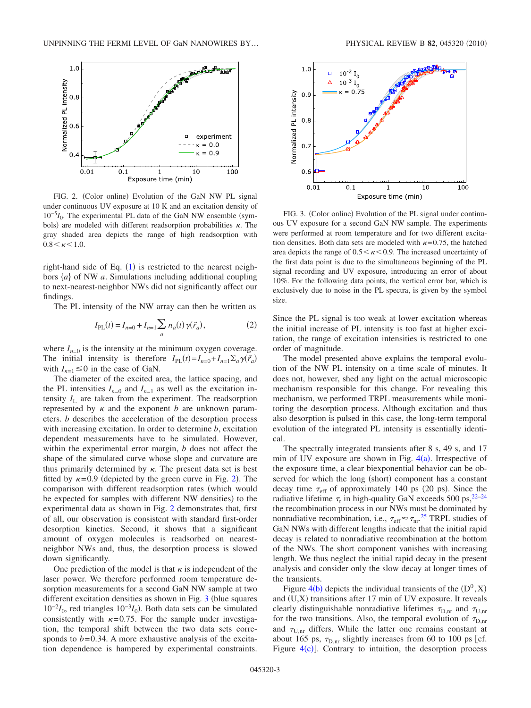<span id="page-2-0"></span>

FIG. 2. (Color online) Evolution of the GaN NW PL signal under continuous UV exposure at 10 K and an excitation density of  $10^{-5}I_0$ . The experimental PL data of the GaN NW ensemble (symbols) are modeled with different readsorption probabilities  $\kappa$ . The gray shaded area depicts the range of high readsorption with  $0.8 < \kappa < 1.0$ .

right-hand side of Eq.  $(1)$  $(1)$  $(1)$  is restricted to the nearest neighbors  $\{a\}$  of NW *a*. Simulations including additional coupling to next-nearest-neighbor NWs did not significantly affect our findings.

The PL intensity of the NW array can then be written as

$$
I_{\rm PL}(t) = I_{n=0} + I_{n=1} \sum_a n_a(t) \gamma(\vec{r}_a),
$$
 (2)

where  $I_{n=0}$  is the intensity at the minimum oxygen coverage. The initial intensity is therefore  $I_{PL}(t) = I_{n=0} + I_{n=1} \sum_a \gamma(\vec{r}_a)$ with  $I_{n=1} \leq 0$  in the case of GaN.

The diameter of the excited area, the lattice spacing, and the PL intensities  $I_{n=0}$  and  $I_{n=1}$  as well as the excitation intensity  $I_L$  are taken from the experiment. The readsorption represented by  $\kappa$  and the exponent *b* are unknown parameters. *b* describes the acceleration of the desorption process with increasing excitation. In order to determine *b*, excitation dependent measurements have to be simulated. However, within the experimental error margin, *b* does not affect the shape of the simulated curve whose slope and curvature are thus primarily determined by  $\kappa$ . The present data set is best fitted by  $\kappa = 0.9$  (depicted by the green curve in Fig. [2](#page-2-0)). The comparison with different readsorption rates (which would be expected for samples with different NW densities) to the experimental data as shown in Fig. [2](#page-2-0) demonstrates that, first of all, our observation is consistent with standard first-order desorption kinetics. Second, it shows that a significant amount of oxygen molecules is readsorbed on nearestneighbor NWs and, thus, the desorption process is slowed down significantly.

One prediction of the model is that  $\kappa$  is independent of the laser power. We therefore performed room temperature desorption measurements for a second GaN NW sample at two different excitation densities as shown in Fig.  $3$  (blue squares  $10^{-2}I_0$ , red triangles  $10^{-3}I_0$ ). Both data sets can be simulated consistently with  $\kappa$ =0.75. For the sample under investigation, the temporal shift between the two data sets corresponds to  $b = 0.34$ . A more exhaustive analysis of the excitation dependence is hampered by experimental constraints.

<span id="page-2-1"></span>

FIG. 3. (Color online) Evolution of the PL signal under continuous UV exposure for a second GaN NW sample. The experiments were performed at room temperature and for two different excitation densities. Both data sets are modeled with  $\kappa$ =0.75, the hatched area depicts the range of  $0.5 \le \kappa \le 0.9$ . The increased uncertainty of the first data point is due to the simultaneous beginning of the PL signal recording and UV exposure, introducing an error of about 10%. For the following data points, the vertical error bar, which is exclusively due to noise in the PL spectra, is given by the symbol

Since the PL signal is too weak at lower excitation whereas the initial increase of PL intensity is too fast at higher excitation, the range of excitation intensities is restricted to one order of magnitude.

The model presented above explains the temporal evolution of the NW PL intensity on a time scale of minutes. It does not, however, shed any light on the actual microscopic mechanism responsible for this change. For revealing this mechanism, we performed TRPL measurements while monitoring the desorption process. Although excitation and thus also desorption is pulsed in this case, the long-term temporal evolution of the integrated PL intensity is essentially identical.

The spectrally integrated transients after 8 s, 49 s, and 17 min of UV exposure are shown in Fig.  $4(a)$  $4(a)$ . Irrespective of the exposure time, a clear biexponential behavior can be observed for which the long (short) component has a constant decay time  $\tau_{\text{eff}}$  of approximately 140 ps (20 ps). Since the radiative lifetime  $\tau_r$  in high-quality GaN exceeds 500 ps,  $2^{2-24}$ the recombination process in our NWs must be dominated by nonradiative recombination, i.e.,  $\tau_{\text{eff}} \approx \tau_{\text{nr}}^{25}$  $\tau_{\text{eff}} \approx \tau_{\text{nr}}^{25}$  $\tau_{\text{eff}} \approx \tau_{\text{nr}}^{25}$  TRPL studies of GaN NWs with different lengths indicate that the initial rapid decay is related to nonradiative recombination at the bottom of the NWs. The short component vanishes with increasing length. We thus neglect the initial rapid decay in the present analysis and consider only the slow decay at longer times of the transients.

Figure  $4(b)$  $4(b)$  depicts the individual transients of the  $(D^0, X)$ and (U,X) transitions after 17 min of UV exposure. It reveals clearly distinguishable nonradiative lifetimes  $\tau_{D,nr}$  and  $\tau_{U,nr}$ for the two transitions. Also, the temporal evolution of  $\tau_{D,nr}$ and  $\tau_{U,nr}$  differs. While the latter one remains constant at about 165 ps,  $\tau_{D,nr}$  slightly increases from 60 to 100 ps [cf. Figure  $4(c)$  $4(c)$ ]. Contrary to intuition, the desorption process

size.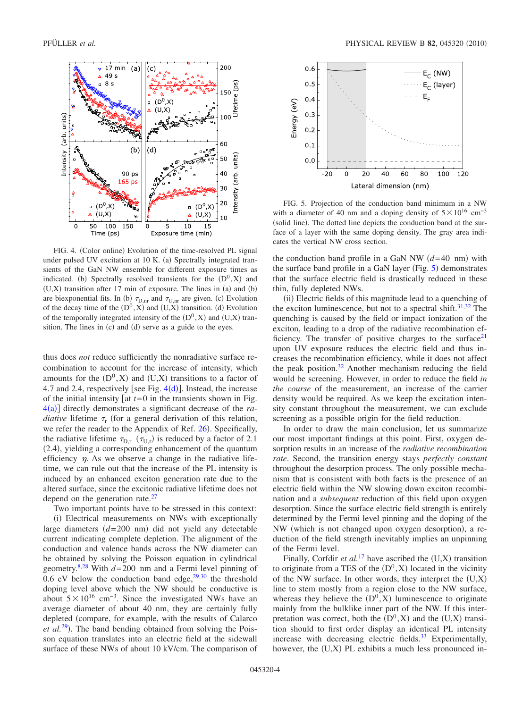<span id="page-3-0"></span>

FIG. 4. (Color online) Evolution of the time-resolved PL signal under pulsed UV excitation at 10 K. (a) Spectrally integrated transients of the GaN NW ensemble for different exposure times as indicated. (b) Spectrally resolved transients for the  $(D^0, X)$  and  $(U,X)$  transition after 17 min of exposure. The lines in (a) and (b) are biexponential fits. In (b)  $\tau_{D,nr}$  and  $\tau_{U,nr}$  are given. (c) Evolution of the decay time of the  $(D^0, X)$  and  $(U, X)$  transition. (d) Evolution of the temporally integrated intensity of the  $(D^0, X)$  and  $(U,X)$  transition. The lines in (c) and (d) serve as a guide to the eyes.

thus does *not* reduce sufficiently the nonradiative surface recombination to account for the increase of intensity, which amounts for the  $(D^0, X)$  and  $(U, X)$  transitions to a factor of [4](#page-3-0).7 and 2.4, respectively [see Fig.  $4(d)$ ]. Instead, the increase of the initial intensity  $\int$  at  $t=0$  in the transients shown in Fig. [4](#page-3-0)(a)] directly demonstrates a significant decrease of the *radiative* lifetime  $\tau_r$  (for a general derivation of this relation, we refer the reader to the Appendix of Ref. [26](#page-4-24)). Specifically, the radiative lifetime  $\tau_{D,r}$  ( $\tau_{U,r}$ ) is reduced by a factor of 2.1 (2.4), yielding a corresponding enhancement of the quantum efficiency  $\eta$ . As we observe a change in the radiative lifetime, we can rule out that the increase of the PL intensity is induced by an enhanced exciton generation rate due to the altered surface, since the excitonic radiative lifetime does not depend on the generation rate. $27$ 

Two important points have to be stressed in this context: (i) Electrical measurements on NWs with exceptionally large diameters  $(d=200 \text{ nm})$  did not yield any detectable current indicating complete depletion. The alignment of the conduction and valence bands across the NW diameter can be obtained by solving the Poisson equation in cylindrical geometry[.8,](#page-4-8)[28](#page-4-26) With *d*=200 nm and a Fermi level pinning of 0.6 eV below the conduction band edge, $29,30$  $29,30$  the threshold doping level above which the NW should be conductive is about  $5 \times 10^{16}$  cm<sup>-3</sup>. Since the investigated NWs have an average diameter of about 40 nm, they are certainly fully depleted compare, for example, with the results of Calarco et al.<sup>[29](#page-4-27)</sup>). The band bending obtained from solving the Poisson equation translates into an electric field at the sidewall surface of these NWs of about 10 kV/cm. The comparison of

<span id="page-3-1"></span>

FIG. 5. Projection of the conduction band minimum in a NW with a diameter of 40 nm and a doping density of  $5 \times 10^{16}$  cm<sup>-3</sup> (solid line). The dotted line depicts the conduction band at the surface of a layer with the same doping density. The gray area indicates the vertical NW cross section.

the conduction band profile in a GaN NW  $(d=40 \text{ nm})$  with the surface band profile in a GaN layer (Fig. [5](#page-3-1)) demonstrates that the surface electric field is drastically reduced in these thin, fully depleted NWs.

(ii) Electric fields of this magnitude lead to a quenching of the exciton luminescence, but not to a spectral shift. $31,32$  $31,32$  The quenching is caused by the field or impact ionization of the exciton, leading to a drop of the radiative recombination efficiency. The transfer of positive charges to the surface<sup>21</sup> upon UV exposure reduces the electric field and thus increases the recombination efficiency, while it does not affect the peak position.<sup>32</sup> Another mechanism reducing the field would be screening. However, in order to reduce the field *in the course* of the measurement, an increase of the carrier density would be required. As we keep the excitation intensity constant throughout the measurement, we can exclude screening as a possible origin for the field reduction.

In order to draw the main conclusion, let us summarize our most important findings at this point. First, oxygen desorption results in an increase of the *radiative recombination rate*. Second, the transition energy stays *perfectly constant* throughout the desorption process. The only possible mechanism that is consistent with both facts is the presence of an electric field within the NW slowing down exciton recombination and a *subsequent* reduction of this field upon oxygen desorption. Since the surface electric field strength is entirely determined by the Fermi level pinning and the doping of the NW (which is not changed upon oxygen desorption), a reduction of the field strength inevitably implies an unpinning of the Fermi level.

Finally, Corfdir *et al.*<sup>[17](#page-4-16)</sup> have ascribed the  $(U,X)$  transition to originate from a TES of the  $(D^0, X)$  located in the vicinity of the NW surface. In other words, they interpret the  $(U,X)$ line to stem mostly from a region close to the NW surface, whereas they believe the  $(D^0, X)$  luminescence to originate mainly from the bulklike inner part of the NW. If this interpretation was correct, both the  $(D^0, X)$  and the  $(U, X)$  transition should to first order display an identical PL intensity increase with decreasing electric fields. $33$  Experimentally, however, the (U,X) PL exhibits a much less pronounced in-